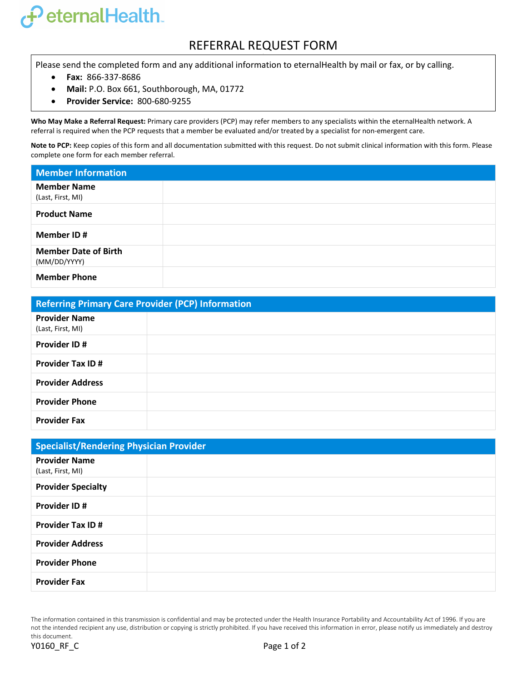## FeternalHealth.

## REFERRAL REQUEST FORM

Please send the completed form and any additional information to eternalHealth by mail or fax, or by calling.

- **Fax:** 866-337-8686
- **Mail:** P.O. Box 661, Southborough, MA, 01772
- **Provider Service:** 800-680-9255

**Who May Make a Referral Request:** Primary care providers (PCP) may refer members to any specialists within the eternalHealth network. A referral is required when the PCP requests that a member be evaluated and/or treated by a specialist for non-emergent care.

**Note to PCP:** Keep copies of this form and all documentation submitted with this request. Do not submit clinical information with this form. Please complete one form for each member referral.

| <b>Member Information</b>                   |  |
|---------------------------------------------|--|
| <b>Member Name</b><br>(Last, First, MI)     |  |
| <b>Product Name</b>                         |  |
| Member ID#                                  |  |
| <b>Member Date of Birth</b><br>(MM/DD/YYYY) |  |
| <b>Member Phone</b>                         |  |

| <b>Referring Primary Care Provider (PCP) Information</b> |  |  |
|----------------------------------------------------------|--|--|
| <b>Provider Name</b><br>(Last, First, MI)                |  |  |
| <b>Provider ID#</b>                                      |  |  |
| <b>Provider Tax ID#</b>                                  |  |  |
| <b>Provider Address</b>                                  |  |  |
| <b>Provider Phone</b>                                    |  |  |
| <b>Provider Fax</b>                                      |  |  |

| <b>Specialist/Rendering Physician Provider</b> |  |  |
|------------------------------------------------|--|--|
| <b>Provider Name</b><br>(Last, First, MI)      |  |  |
| <b>Provider Specialty</b>                      |  |  |
| <b>Provider ID#</b>                            |  |  |
| <b>Provider Tax ID#</b>                        |  |  |
| <b>Provider Address</b>                        |  |  |
| <b>Provider Phone</b>                          |  |  |
| <b>Provider Fax</b>                            |  |  |

The information contained in this transmission is confidential and may be protected under the Health Insurance Portability and Accountability Act of 1996. If you are not the intended recipient any use, distribution or copying is strictly prohibited. If you have received this information in error, please notify us immediately and destroy this document.